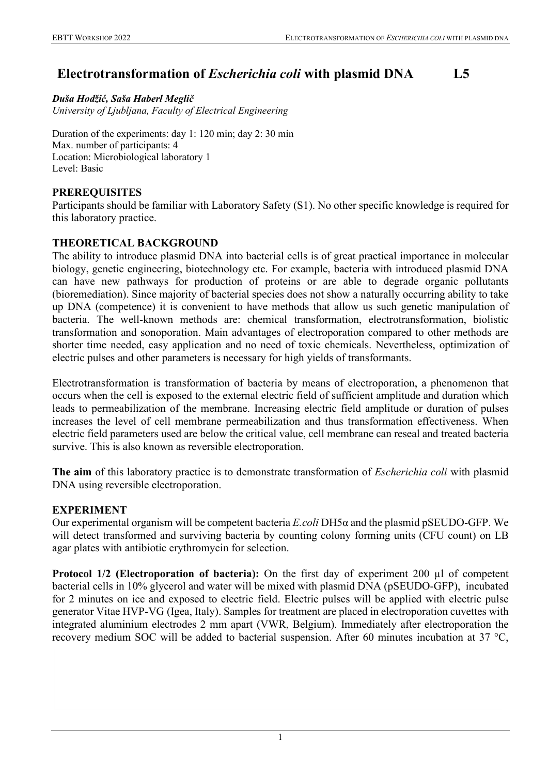# **Electrotransformation of** *Escherichia coli* **with plasmid DNA L5**

*Duša Hodžić, Saša Haberl Meglič University of Ljubljana, Faculty of Electrical Engineering*

Duration of the experiments: day 1: 120 min; day 2: 30 min Max. number of participants: 4 Location: Microbiological laboratory 1 Level: Basic

## **PREREQUISITES**

Participants should be familiar with Laboratory Safety (S1). No other specific knowledge is required for this laboratory practice.

## **THEORETICAL BACKGROUND**

The ability to introduce plasmid DNA into bacterial cells is of great practical importance in molecular biology, genetic engineering, biotechnology etc. For example, bacteria with introduced plasmid DNA can have new pathways for production of proteins or are able to degrade organic pollutants (bioremediation). Since majority of bacterial species does not show a naturally occurring ability to take up DNA (competence) it is convenient to have methods that allow us such genetic manipulation of bacteria. The well-known methods are: chemical transformation, electrotransformation, biolistic transformation and sonoporation. Main advantages of electroporation compared to other methods are shorter time needed, easy application and no need of toxic chemicals. Nevertheless, optimization of electric pulses and other parameters is necessary for high yields of transformants.

Electrotransformation is transformation of bacteria by means of electroporation, a phenomenon that occurs when the cell is exposed to the external electric field of sufficient amplitude and duration which leads to permeabilization of the membrane. Increasing electric field amplitude or duration of pulses increases the level of cell membrane permeabilization and thus transformation effectiveness. When electric field parameters used are below the critical value, cell membrane can reseal and treated bacteria survive. This is also known as reversible electroporation.

**The aim** of this laboratory practice is to demonstrate transformation of *Escherichia coli* with plasmid DNA using reversible electroporation.

# **EXPERIMENT**

Our experimental organism will be competent bacteria *E.coli* DH5α and the plasmid pSEUDO-GFP. We will detect transformed and surviving bacteria by counting colony forming units (CFU count) on LB agar plates with antibiotic erythromycin for selection.

**Protocol 1/2 (Electroporation of bacteria):** On the first day of experiment 200 µl of competent bacterial cells in 10% glycerol and water will be mixed with plasmid DNA (pSEUDO-GFP), incubated for 2 minutes on ice and exposed to electric field. Electric pulses will be applied with electric pulse generator Vitae HVP-VG (Igea, Italy). Samples for treatment are placed in electroporation cuvettes with integrated aluminium electrodes 2 mm apart (VWR, Belgium). Immediately after electroporation the recovery medium SOC will be added to bacterial suspension. After 60 minutes incubation at 37 °C,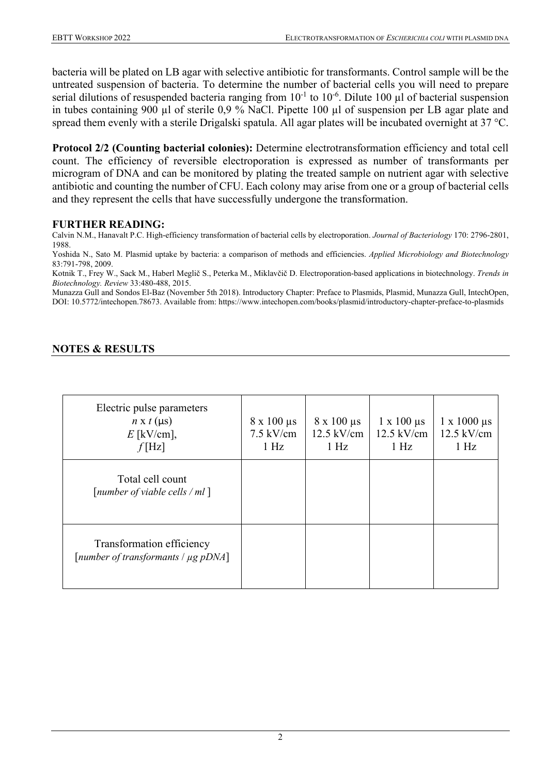bacteria will be plated on LB agar with selective antibiotic for transformants. Control sample will be the untreated suspension of bacteria. To determine the number of bacterial cells you will need to prepare serial dilutions of resuspended bacteria ranging from  $10^{-1}$  to  $10^{-6}$ . Dilute 100 µl of bacterial suspension in tubes containing 900 µl of sterile 0,9 % NaCl. Pipette 100 µl of suspension per LB agar plate and spread them evenly with a sterile Drigalski spatula. All agar plates will be incubated overnight at 37 °C.

**Protocol 2/2 (Counting bacterial colonies):** Determine electrotransformation efficiency and total cell count. The efficiency of reversible electroporation is expressed as number of transformants per microgram of DNA and can be monitored by plating the treated sample on nutrient agar with selective antibiotic and counting the number of CFU. Each colony may arise from one or a group of bacterial cells and they represent the cells that have successfully undergone the transformation.

#### **FURTHER READING:**

Calvin N.M., Hanavalt P.C. High-efficiency transformation of bacterial cells by electroporation. *Journal of Bacteriology* 170: 2796-2801, 1988.

Yoshida N., Sato M. Plasmid uptake by bacteria: a comparison of methods and efficiencies. *Applied Microbiology and Biotechnology* 83:791-798, 2009.

Kotnik T., Frey W., Sack M., Haberl Meglič S., Peterka M., Miklavčič D. Electroporation-based applications in biotechnology. *Trends in Biotechnology. Review* 33:480-488, 2015.

Munazza Gull and Sondos El-Baz (November 5th 2018). Introductory Chapter: Preface to Plasmids, Plasmid, Munazza Gull, IntechOpen, DOI: 10.5772/intechopen.78673. Available from: https://www.intechopen.com/books/plasmid/introductory-chapter-preface-to-plasmids

## **NOTES & RESULTS**

| Electric pulse parameters<br>$n \times t$ (µs)<br>$E$ [kV/cm],      | $8 \times 100 \,\mu s$<br>$7.5 \text{ kV/cm}$ | $8 \times 100 \mu s$<br>$12.5$ kV/cm | $1 \times 100 \mu s$<br>$12.5$ kV/cm | $1 \times 1000 \mu s$<br>$12.5$ kV/cm |
|---------------------------------------------------------------------|-----------------------------------------------|--------------------------------------|--------------------------------------|---------------------------------------|
| f[Hz]                                                               | 1 Hz                                          | 1 Hz                                 | $1$ Hz                               | 1 Hz                                  |
| Total cell count<br>[number of viable cells / $ml$ ]                |                                               |                                      |                                      |                                       |
| Transformation efficiency<br>[number of transformants $\mu$ g pDNA] |                                               |                                      |                                      |                                       |